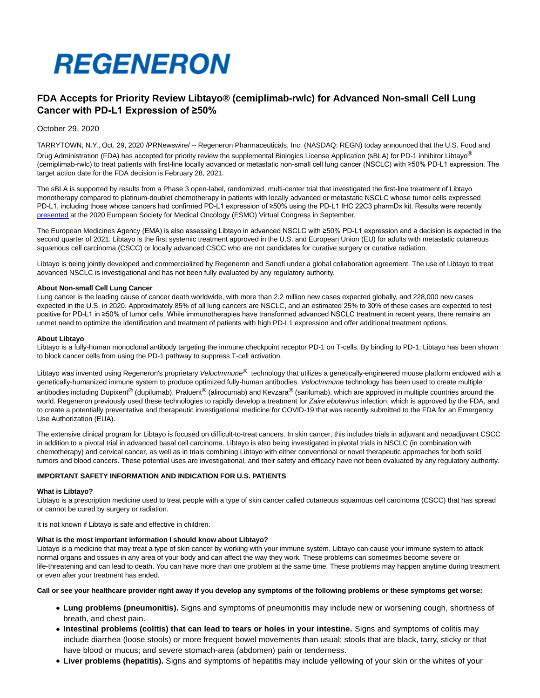

# **FDA Accepts for Priority Review Libtayo® (cemiplimab-rwlc) for Advanced Non-small Cell Lung Cancer with PD-L1 Expression of ≥50%**

October 29, 2020

TARRYTOWN, N.Y., Oct. 29, 2020 /PRNewswire/ -- Regeneron Pharmaceuticals, Inc. (NASDAQ: REGN) today announced that the U.S. Food and Drug Administration (FDA) has accepted for priority review the supplemental Biologics License Application (sBLA) for PD-1 inhibitor Libtayo<sup>®</sup> (cemiplimab-rwlc) to treat patients with first-line locally advanced or metastatic non-small cell lung cancer (NSCLC) with ≥50% PD-L1 expression. The target action date for the FDA decision is February 28, 2021.

The sBLA is supported by results from a Phase 3 open-label, randomized, multi-center trial that investigated the first-line treatment of Libtayo monotherapy compared to platinum-doublet chemotherapy in patients with locally advanced or metastatic NSCLC whose tumor cells expressed PD-L1, including those whose cancers had confirmed PD-L1 expression of ≥50% using the PD-L1 IHC 22C3 pharmDx kit. Results were recently [presented a](https://c212.net/c/link/?t=0&l=en&o=2965347-1&h=393048636&u=https%3A%2F%2Finvestor.regeneron.com%2Fnews-releases%2Fnews-release-details%2Flate-breaking-esmo-presentation-shows-libtayor-cemiplimab&a=presented)t the 2020 European Society for Medical Oncology (ESMO) Virtual Congress in September.

The European Medicines Agency (EMA) is also assessing Libtayo in advanced NSCLC with ≥50% PD-L1 expression and a decision is expected in the second quarter of 2021. Libtayo is the first systemic treatment approved in the U.S. and European Union (EU) for adults with metastatic cutaneous squamous cell carcinoma (CSCC) or locally advanced CSCC who are not candidates for curative surgery or curative radiation.

Libtayo is being jointly developed and commercialized by Regeneron and Sanofi under a global collaboration agreement. The use of Libtayo to treat advanced NSCLC is investigational and has not been fully evaluated by any regulatory authority.

#### **About Non-small Cell Lung Cancer**

Lung cancer is the leading cause of cancer death worldwide, with more than 2.2 million new cases expected globally, and 228,000 new cases expected in the U.S. in 2020. Approximately 85% of all lung cancers are NSCLC, and an estimated 25% to 30% of these cases are expected to test positive for PD-L1 in ≥50% of tumor cells. While immunotherapies have transformed advanced NSCLC treatment in recent years, there remains an unmet need to optimize the identification and treatment of patients with high PD-L1 expression and offer additional treatment options.

#### **About Libtayo**

Libtayo is a fully-human monoclonal antibody targeting the immune checkpoint receptor PD-1 on T-cells. By binding to PD-1, Libtayo has been shown to block cancer cells from using the PD-1 pathway to suppress T-cell activation.

Libtayo was invented using Regeneron's proprietary Veloclmmune<sup>®</sup> technology that utilizes a genetically-engineered mouse platform endowed with a genetically-humanized immune system to produce optimized fully-human antibodies. VelocImmune technology has been used to create multiple antibodies including Dupixent® (dupilumab), Praluent® (alirocumab) and Kevzara® (sarilumab), which are approved in multiple countries around the world. Regeneron previously used these technologies to rapidly develop a treatment for Zaire ebolavirus infection, which is approved by the FDA, and to create a potentially preventative and therapeutic investigational medicine for COVID-19 that was recently submitted to the FDA for an Emergency Use Authorization (EUA).

The extensive clinical program for Libtayo is focused on difficult-to-treat cancers. In skin cancer, this includes trials in adjuvant and neoadjuvant CSCC in addition to a pivotal trial in advanced basal cell carcinoma. Libtayo is also being investigated in pivotal trials in NSCLC (in combination with chemotherapy) and cervical cancer, as well as in trials combining Libtayo with either conventional or novel therapeutic approaches for both solid tumors and blood cancers. These potential uses are investigational, and their safety and efficacy have not been evaluated by any regulatory authority.

# **IMPORTANT SAFETY INFORMATION AND INDICATION FOR U.S. PATIENTS**

#### **What is Libtayo?**

Libtayo is a prescription medicine used to treat people with a type of skin cancer called cutaneous squamous cell carcinoma (CSCC) that has spread or cannot be cured by surgery or radiation.

It is not known if Libtayo is safe and effective in children.

#### **What is the most important information I should know about Libtayo?**

Libtayo is a medicine that may treat a type of skin cancer by working with your immune system. Libtayo can cause your immune system to attack normal organs and tissues in any area of your body and can affect the way they work. These problems can sometimes become severe or life-threatening and can lead to death. You can have more than one problem at the same time. These problems may happen anytime during treatment or even after your treatment has ended.

# **Call or see your healthcare provider right away if you develop any symptoms of the following problems or these symptoms get worse:**

- **Lung problems (pneumonitis).** Signs and symptoms of pneumonitis may include new or worsening cough, shortness of breath, and chest pain.
- **Intestinal problems (colitis) that can lead to tears or holes in your intestine.** Signs and symptoms of colitis may include diarrhea (loose stools) or more frequent bowel movements than usual; stools that are black, tarry, sticky or that have blood or mucus; and severe stomach-area (abdomen) pain or tenderness.
- **Liver problems (hepatitis).** Signs and symptoms of hepatitis may include yellowing of your skin or the whites of your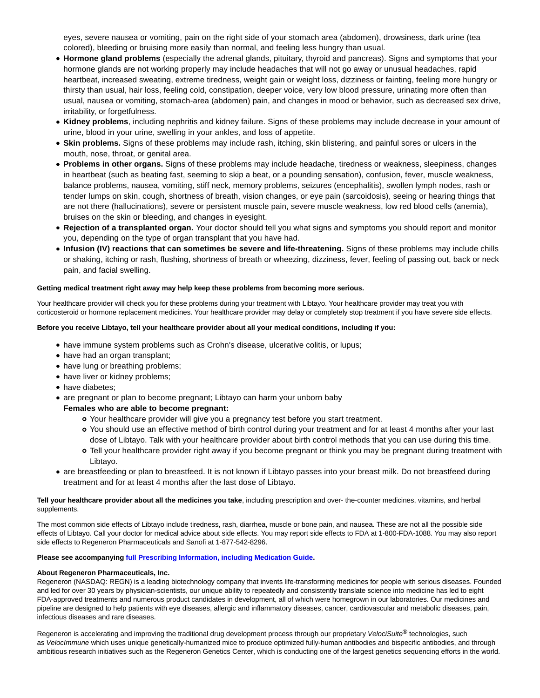eyes, severe nausea or vomiting, pain on the right side of your stomach area (abdomen), drowsiness, dark urine (tea colored), bleeding or bruising more easily than normal, and feeling less hungry than usual.

- **Hormone gland problems** (especially the adrenal glands, pituitary, thyroid and pancreas). Signs and symptoms that your hormone glands are not working properly may include headaches that will not go away or unusual headaches, rapid heartbeat, increased sweating, extreme tiredness, weight gain or weight loss, dizziness or fainting, feeling more hungry or thirsty than usual, hair loss, feeling cold, constipation, deeper voice, very low blood pressure, urinating more often than usual, nausea or vomiting, stomach-area (abdomen) pain, and changes in mood or behavior, such as decreased sex drive, irritability, or forgetfulness.
- **Kidney problems**, including nephritis and kidney failure. Signs of these problems may include decrease in your amount of urine, blood in your urine, swelling in your ankles, and loss of appetite.
- **Skin problems.** Signs of these problems may include rash, itching, skin blistering, and painful sores or ulcers in the mouth, nose, throat, or genital area.
- **Problems in other organs.** Signs of these problems may include headache, tiredness or weakness, sleepiness, changes in heartbeat (such as beating fast, seeming to skip a beat, or a pounding sensation), confusion, fever, muscle weakness, balance problems, nausea, vomiting, stiff neck, memory problems, seizures (encephalitis), swollen lymph nodes, rash or tender lumps on skin, cough, shortness of breath, vision changes, or eye pain (sarcoidosis), seeing or hearing things that are not there (hallucinations), severe or persistent muscle pain, severe muscle weakness, low red blood cells (anemia), bruises on the skin or bleeding, and changes in eyesight.
- **Rejection of a transplanted organ.** Your doctor should tell you what signs and symptoms you should report and monitor you, depending on the type of organ transplant that you have had.
- **Infusion (IV) reactions that can sometimes be severe and life-threatening.** Signs of these problems may include chills or shaking, itching or rash, flushing, shortness of breath or wheezing, dizziness, fever, feeling of passing out, back or neck pain, and facial swelling.

# **Getting medical treatment right away may help keep these problems from becoming more serious.**

Your healthcare provider will check you for these problems during your treatment with Libtayo. Your healthcare provider may treat you with corticosteroid or hormone replacement medicines. Your healthcare provider may delay or completely stop treatment if you have severe side effects.

# **Before you receive Libtayo, tell your healthcare provider about all your medical conditions, including if you:**

- have immune system problems such as Crohn's disease, ulcerative colitis, or lupus;
- have had an organ transplant;
- have lung or breathing problems;
- have liver or kidney problems;
- have diabetes;
- are pregnant or plan to become pregnant; Libtayo can harm your unborn baby

# **Females who are able to become pregnant:**

- Your healthcare provider will give you a pregnancy test before you start treatment.
- You should use an effective method of birth control during your treatment and for at least 4 months after your last dose of Libtayo. Talk with your healthcare provider about birth control methods that you can use during this time.
- Tell your healthcare provider right away if you become pregnant or think you may be pregnant during treatment with Libtayo.
- are breastfeeding or plan to breastfeed. It is not known if Libtayo passes into your breast milk. Do not breastfeed during treatment and for at least 4 months after the last dose of Libtayo.

**Tell your healthcare provider about all the medicines you take**, including prescription and over- the-counter medicines, vitamins, and herbal supplements.

The most common side effects of Libtayo include tiredness, rash, diarrhea, muscle or bone pain, and nausea. These are not all the possible side effects of Libtayo. Call your doctor for medical advice about side effects. You may report side effects to FDA at 1-800-FDA-1088. You may also report side effects to Regeneron Pharmaceuticals and Sanofi at 1-877-542-8296.

# **Please see accompanying [full Prescribing Information, including Medication Guide.](https://c212.net/c/link/?t=0&l=en&o=2965347-1&h=2130544607&u=https%3A%2F%2Fwww.regeneron.com%2Fsites%2Fdefault%2Ffiles%2FLibtayo_FPI.pdf&a=full+Prescribing+Information%2C+including+Medication+Guide)**

# **About Regeneron Pharmaceuticals, Inc.**

Regeneron (NASDAQ: REGN) is a leading biotechnology company that invents life-transforming medicines for people with serious diseases. Founded and led for over 30 years by physician-scientists, our unique ability to repeatedly and consistently translate science into medicine has led to eight FDA-approved treatments and numerous product candidates in development, all of which were homegrown in our laboratories. Our medicines and pipeline are designed to help patients with eye diseases, allergic and inflammatory diseases, cancer, cardiovascular and metabolic diseases, pain, infectious diseases and rare diseases.

Regeneron is accelerating and improving the traditional drug development process through our proprietary VelociSuite® technologies, such as VelocImmune which uses unique genetically-humanized mice to produce optimized fully-human antibodies and bispecific antibodies, and through ambitious research initiatives such as the Regeneron Genetics Center, which is conducting one of the largest genetics sequencing efforts in the world.